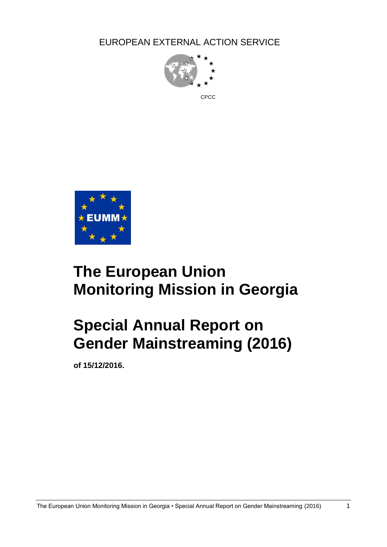EUROPEAN EXTERNAL ACTION SERVICE



# **The European Union Monitoring Mission in Georgia**

# **Special Annual Report on Gender Mainstreaming (2016)**

**of 15/12/2016.**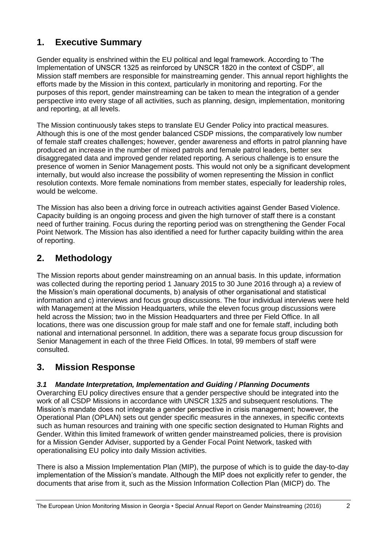## **1. Executive Summary**

Gender equality is enshrined within the EU political and legal framework. According to 'The Implementation of UNSCR 1325 as reinforced by UNSCR 1820 in the context of CSDP', all Mission staff members are responsible for mainstreaming gender. This annual report highlights the efforts made by the Mission in this context, particularly in monitoring and reporting. For the purposes of this report, gender mainstreaming can be taken to mean the integration of a gender perspective into every stage of all activities, such as planning, design, implementation, monitoring and reporting, at all levels.

The Mission continuously takes steps to translate EU Gender Policy into practical measures. Although this is one of the most gender balanced CSDP missions, the comparatively low number of female staff creates challenges; however, gender awareness and efforts in patrol planning have produced an increase in the number of mixed patrols and female patrol leaders, better sex disaggregated data and improved gender related reporting. A serious challenge is to ensure the presence of women in Senior Management posts. This would not only be a significant development internally, but would also increase the possibility of women representing the Mission in conflict resolution contexts. More female nominations from member states, especially for leadership roles, would be welcome.

The Mission has also been a driving force in outreach activities against Gender Based Violence. Capacity building is an ongoing process and given the high turnover of staff there is a constant need of further training. Focus during the reporting period was on strengthening the Gender Focal Point Network. The Mission has also identified a need for further capacity building within the area of reporting.

## **2. Methodology**

The Mission reports about gender mainstreaming on an annual basis. In this update, information was collected during the reporting period 1 January 2015 to 30 June 2016 through a) a review of the Mission's main operational documents, b) analysis of other organisational and statistical information and c) interviews and focus group discussions. The four individual interviews were held with Management at the Mission Headquarters, while the eleven focus group discussions were held across the Mission; two in the Mission Headquarters and three per Field Office. In all locations, there was one discussion group for male staff and one for female staff, including both national and international personnel. In addition, there was a separate focus group discussion for Senior Management in each of the three Field Offices. In total, 99 members of staff were consulted.

## **3. Mission Response**

### *3.1 Mandate Interpretation, Implementation and Guiding / Planning Documents*

Overarching EU policy directives ensure that a gender perspective should be integrated into the work of all CSDP Missions in accordance with UNSCR 1325 and subsequent resolutions. The Mission's mandate does not integrate a gender perspective in crisis management; however, the Operational Plan (OPLAN) sets out gender specific measures in the annexes, in specific contexts such as human resources and training with one specific section designated to Human Rights and Gender. Within this limited framework of written gender mainstreamed policies, there is provision for a Mission Gender Adviser, supported by a Gender Focal Point Network, tasked with operationalising EU policy into daily Mission activities.

There is also a Mission Implementation Plan (MIP), the purpose of which is to guide the day-to-day implementation of the Mission's mandate. Although the MIP does not explicitly refer to gender, the documents that arise from it, such as the Mission Information Collection Plan (MICP) do. The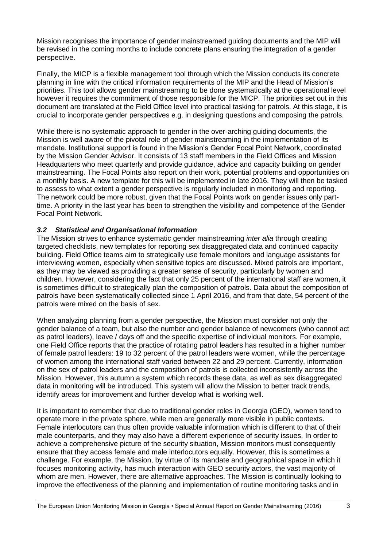Mission recognises the importance of gender mainstreamed guiding documents and the MIP will be revised in the coming months to include concrete plans ensuring the integration of a gender perspective.

Finally, the MICP is a flexible management tool through which the Mission conducts its concrete planning in line with the critical information requirements of the MIP and the Head of Mission's priorities. This tool allows gender mainstreaming to be done systematically at the operational level however it requires the commitment of those responsible for the MICP. The priorities set out in this document are translated at the Field Office level into practical tasking for patrols. At this stage, it is crucial to incorporate gender perspectives e.g. in designing questions and composing the patrols.

While there is no systematic approach to gender in the over-arching guiding documents, the Mission is well aware of the pivotal role of gender mainstreaming in the implementation of its mandate. Institutional support is found in the Mission's Gender Focal Point Network, coordinated by the Mission Gender Advisor. It consists of 13 staff members in the Field Offices and Mission Headquarters who meet quarterly and provide guidance, advice and capacity building on gender mainstreaming. The Focal Points also report on their work, potential problems and opportunities on a monthly basis. A new template for this will be implemented in late 2016. They will then be tasked to assess to what extent a gender perspective is regularly included in monitoring and reporting. The network could be more robust, given that the Focal Points work on gender issues only parttime. A priority in the last year has been to strengthen the visibility and competence of the Gender Focal Point Network.

#### *3.2 Statistical and Organisational Information*

The Mission strives to enhance systematic gender mainstreaming *inter alia* through creating targeted checklists, new templates for reporting sex disaggregated data and continued capacity building. Field Office teams aim to strategically use female monitors and language assistants for interviewing women, especially when sensitive topics are discussed. Mixed patrols are important, as they may be viewed as providing a greater sense of security, particularly by women and children. However, considering the fact that only 25 percent of the international staff are women, it is sometimes difficult to strategically plan the composition of patrols. Data about the composition of patrols have been systematically collected since 1 April 2016, and from that date, 54 percent of the patrols were mixed on the basis of sex.

When analyzing planning from a gender perspective, the Mission must consider not only the gender balance of a team, but also the number and gender balance of newcomers (who cannot act as patrol leaders), leave / days off and the specific expertise of individual monitors. For example, one Field Office reports that the practice of rotating patrol leaders has resulted in a higher number of female patrol leaders: 19 to 32 percent of the patrol leaders were women, while the percentage of women among the international staff varied between 22 and 29 percent. Currently, information on the sex of patrol leaders and the composition of patrols is collected inconsistently across the Mission. However, this autumn a system which records these data, as well as sex disaggregated data in monitoring will be introduced. This system will allow the Mission to better track trends, identify areas for improvement and further develop what is working well.

It is important to remember that due to traditional gender roles in Georgia (GEO), women tend to operate more in the private sphere, while men are generally more visible in public contexts. Female interlocutors can thus often provide valuable information which is different to that of their male counterparts, and they may also have a different experience of security issues. In order to achieve a comprehensive picture of the security situation, Mission monitors must consequently ensure that they access female and male interlocutors equally. However, this is sometimes a challenge. For example, the Mission, by virtue of its mandate and geographical space in which it focuses monitoring activity, has much interaction with GEO security actors, the vast majority of whom are men. However, there are alternative approaches. The Mission is continually looking to improve the effectiveness of the planning and implementation of routine monitoring tasks and in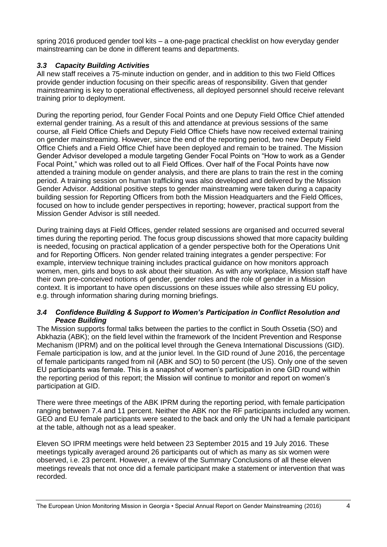spring 2016 produced gender tool kits – a one-page practical checklist on how everyday gender mainstreaming can be done in different teams and departments.

#### *3.3 Capacity Building Activities*

All new staff receives a 75-minute induction on gender, and in addition to this two Field Offices provide gender induction focusing on their specific areas of responsibility. Given that gender mainstreaming is key to operational effectiveness, all deployed personnel should receive relevant training prior to deployment.

During the reporting period, four Gender Focal Points and one Deputy Field Office Chief attended external gender training. As a result of this and attendance at previous sessions of the same course, all Field Office Chiefs and Deputy Field Office Chiefs have now received external training on gender mainstreaming. However, since the end of the reporting period, two new Deputy Field Office Chiefs and a Field Office Chief have been deployed and remain to be trained. The Mission Gender Advisor developed a module targeting Gender Focal Points on "How to work as a Gender Focal Point," which was rolled out to all Field Offices. Over half of the Focal Points have now attended a training module on gender analysis, and there are plans to train the rest in the coming period. A training session on human trafficking was also developed and delivered by the Mission Gender Advisor. Additional positive steps to gender mainstreaming were taken during a capacity building session for Reporting Officers from both the Mission Headquarters and the Field Offices, focused on how to include gender perspectives in reporting; however, practical support from the Mission Gender Advisor is still needed.

During training days at Field Offices, gender related sessions are organised and occurred several times during the reporting period. The focus group discussions showed that more capacity building is needed, focusing on practical application of a gender perspective both for the Operations Unit and for Reporting Officers. Non gender related training integrates a gender perspective: For example, interview technique training includes practical guidance on how monitors approach women, men, girls and boys to ask about their situation. As with any workplace, Mission staff have their own pre-conceived notions of gender, gender roles and the role of gender in a Mission context. It is important to have open discussions on these issues while also stressing EU policy, e.g. through information sharing during morning briefings.

#### *3.4 Confidence Building & Support to Women's Participation in Conflict Resolution and Peace Building*

The Mission supports formal talks between the parties to the conflict in South Ossetia (SO) and Abkhazia (ABK); on the field level within the framework of the Incident Prevention and Response Mechanism (IPRM) and on the political level through the Geneva International Discussions (GID). Female participation is low, and at the junior level. In the GID round of June 2016, the percentage of female participants ranged from nil (ABK and SO) to 50 percent (the US). Only one of the seven EU participants was female. This is a snapshot of women's participation in one GID round within the reporting period of this report; the Mission will continue to monitor and report on women's participation at GID.

There were three meetings of the ABK IPRM during the reporting period, with female participation ranging between 7.4 and 11 percent. Neither the ABK nor the RF participants included any women. GEO and EU female participants were seated to the back and only the UN had a female participant at the table, although not as a lead speaker.

Eleven SO IPRM meetings were held between 23 September 2015 and 19 July 2016. These meetings typically averaged around 26 participants out of which as many as six women were observed, i.e. 23 percent. However, a review of the Summary Conclusions of all these eleven meetings reveals that not once did a female participant make a statement or intervention that was recorded.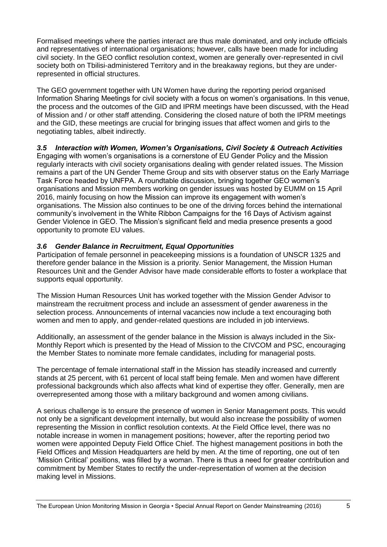Formalised meetings where the parties interact are thus male dominated, and only include officials and representatives of international organisations; however, calls have been made for including civil society. In the GEO conflict resolution context, women are generally over-represented in civil society both on Tbilisi-administered Territory and in the breakaway regions, but they are underrepresented in official structures.

The GEO government together with UN Women have during the reporting period organised Information Sharing Meetings for civil society with a focus on women's organisations. In this venue, the process and the outcomes of the GID and IPRM meetings have been discussed, with the Head of Mission and / or other staff attending. Considering the closed nature of both the IPRM meetings and the GID, these meetings are crucial for bringing issues that affect women and girls to the negotiating tables, albeit indirectly.

#### *3.5 Interaction with Women, Women's Organisations, Civil Society & Outreach Activities*

Engaging with women's organisations is a cornerstone of EU Gender Policy and the Mission regularly interacts with civil society organisations dealing with gender related issues. The Mission remains a part of the UN Gender Theme Group and sits with observer status on the Early Marriage Task Force headed by UNFPA. A roundtable discussion, bringing together GEO women's organisations and Mission members working on gender issues was hosted by EUMM on 15 April 2016, mainly focusing on how the Mission can improve its engagement with women's organisations. The Mission also continues to be one of the driving forces behind the international community's involvement in the White Ribbon Campaigns for the 16 Days of Activism against Gender Violence in GEO. The Mission's significant field and media presence presents a good opportunity to promote EU values.

#### *3.6 Gender Balance in Recruitment, Equal Opportunities*

Participation of female personnel in peacekeeping missions is a foundation of UNSCR 1325 and therefore gender balance in the Mission is a priority. Senior Management, the Mission Human Resources Unit and the Gender Advisor have made considerable efforts to foster a workplace that supports equal opportunity.

The Mission Human Resources Unit has worked together with the Mission Gender Advisor to mainstream the recruitment process and include an assessment of gender awareness in the selection process. Announcements of internal vacancies now include a text encouraging both women and men to apply, and gender-related questions are included in job interviews.

Additionally, an assessment of the gender balance in the Mission is always included in the Six-Monthly Report which is presented by the Head of Mission to the CIVCOM and PSC, encouraging the Member States to nominate more female candidates, including for managerial posts.

The percentage of female international staff in the Mission has steadily increased and currently stands at 25 percent, with 61 percent of local staff being female. Men and women have different professional backgrounds which also affects what kind of expertise they offer. Generally, men are overrepresented among those with a military background and women among civilians.

A serious challenge is to ensure the presence of women in Senior Management posts. This would not only be a significant development internally, but would also increase the possibility of women representing the Mission in conflict resolution contexts. At the Field Office level, there was no notable increase in women in management positions; however, after the reporting period two women were appointed Deputy Field Office Chief. The highest management positions in both the Field Offices and Mission Headquarters are held by men. At the time of reporting, one out of ten 'Mission Critical' positions, was filled by a woman. There is thus a need for greater contribution and commitment by Member States to rectify the under-representation of women at the decision making level in Missions.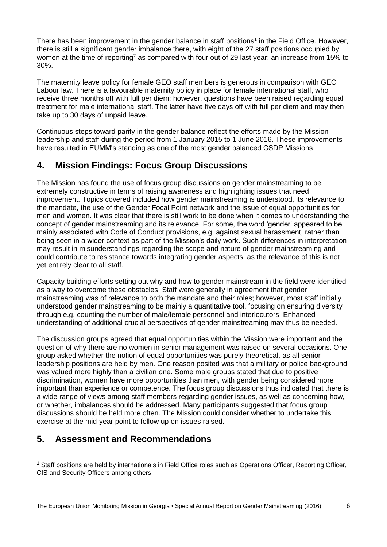There has been improvement in the gender balance in staff positions<sup>1</sup> in the Field Office. However, there is still a significant gender imbalance there, with eight of the 27 staff positions occupied by women at the time of reporting<sup>2</sup> as compared with four out of 29 last year; an increase from 15% to 30%.

The maternity leave policy for female GEO staff members is generous in comparison with GEO Labour law. There is a favourable maternity policy in place for female international staff, who receive three months off with full per diem; however, questions have been raised regarding equal treatment for male international staff. The latter have five days off with full per diem and may then take up to 30 days of unpaid leave.

Continuous steps toward parity in the gender balance reflect the efforts made by the Mission leadership and staff during the period from 1 January 2015 to 1 June 2016. These improvements have resulted in EUMM's standing as one of the most gender balanced CSDP Missions.

## **4. Mission Findings: Focus Group Discussions**

The Mission has found the use of focus group discussions on gender mainstreaming to be extremely constructive in terms of raising awareness and highlighting issues that need improvement. Topics covered included how gender mainstreaming is understood, its relevance to the mandate, the use of the Gender Focal Point network and the issue of equal opportunities for men and women. It was clear that there is still work to be done when it comes to understanding the concept of gender mainstreaming and its relevance. For some, the word 'gender' appeared to be mainly associated with Code of Conduct provisions, e.g. against sexual harassment, rather than being seen in a wider context as part of the Mission's daily work. Such differences in interpretation may result in misunderstandings regarding the scope and nature of gender mainstreaming and could contribute to resistance towards integrating gender aspects, as the relevance of this is not yet entirely clear to all staff.

Capacity building efforts setting out why and how to gender mainstream in the field were identified as a way to overcome these obstacles. Staff were generally in agreement that gender mainstreaming was of relevance to both the mandate and their roles; however, most staff initially understood gender mainstreaming to be mainly a quantitative tool, focusing on ensuring diversity through e.g. counting the number of male/female personnel and interlocutors. Enhanced understanding of additional crucial perspectives of gender mainstreaming may thus be needed.

The discussion groups agreed that equal opportunities within the Mission were important and the question of why there are no women in senior management was raised on several occasions. One group asked whether the notion of equal opportunities was purely theoretical, as all senior leadership positions are held by men. One reason posited was that a military or police background was valued more highly than a civilian one. Some male groups stated that due to positive discrimination, women have more opportunities than men, with gender being considered more important than experience or competence. The focus group discussions thus indicated that there is a wide range of views among staff members regarding gender issues, as well as concerning how, or whether, imbalances should be addressed. Many participants suggested that focus group discussions should be held more often. The Mission could consider whether to undertake this exercise at the mid-year point to follow up on issues raised.

## **5. Assessment and Recommendations**

1

**<sup>1</sup>** Staff positions are held by internationals in Field Office roles such as Operations Officer, Reporting Officer, CIS and Security Officers among others.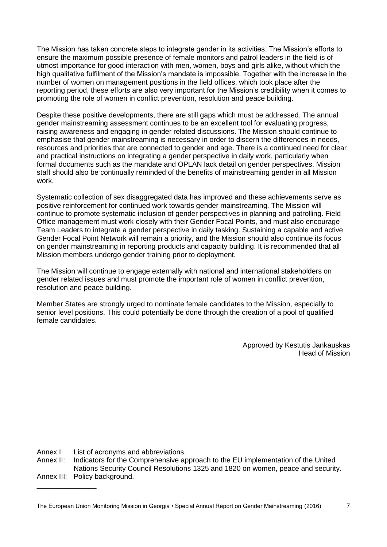The Mission has taken concrete steps to integrate gender in its activities. The Mission's efforts to ensure the maximum possible presence of female monitors and patrol leaders in the field is of utmost importance for good interaction with men, women, boys and girls alike, without which the high qualitative fulfilment of the Mission's mandate is impossible. Together with the increase in the number of women on management positions in the field offices, which took place after the reporting period, these efforts are also very important for the Mission's credibility when it comes to promoting the role of women in conflict prevention, resolution and peace building.

Despite these positive developments, there are still gaps which must be addressed. The annual gender mainstreaming assessment continues to be an excellent tool for evaluating progress, raising awareness and engaging in gender related discussions. The Mission should continue to emphasise that gender mainstreaming is necessary in order to discern the differences in needs, resources and priorities that are connected to gender and age. There is a continued need for clear and practical instructions on integrating a gender perspective in daily work, particularly when formal documents such as the mandate and OPLAN lack detail on gender perspectives. Mission staff should also be continually reminded of the benefits of mainstreaming gender in all Mission work.

Systematic collection of sex disaggregated data has improved and these achievements serve as positive reinforcement for continued work towards gender mainstreaming. The Mission will continue to promote systematic inclusion of gender perspectives in planning and patrolling. Field Office management must work closely with their Gender Focal Points, and must also encourage Team Leaders to integrate a gender perspective in daily tasking. Sustaining a capable and active Gender Focal Point Network will remain a priority, and the Mission should also continue its focus on gender mainstreaming in reporting products and capacity building. It is recommended that all Mission members undergo gender training prior to deployment.

The Mission will continue to engage externally with national and international stakeholders on gender related issues and must promote the important role of women in conflict prevention, resolution and peace building.

Member States are strongly urged to nominate female candidates to the Mission, especially to senior level positions. This could potentially be done through the creation of a pool of qualified female candidates.

> Approved by Kestutis Jankauskas Head of Mission

Annex I: List of acronyms and abbreviations.

Annex II: Indicators for the Comprehensive approach to the EU implementation of the United Nations Security Council Resolutions 1325 and 1820 on women, peace and security.

Annex III: Policy background. \_\_\_\_\_\_\_\_\_\_\_\_\_\_\_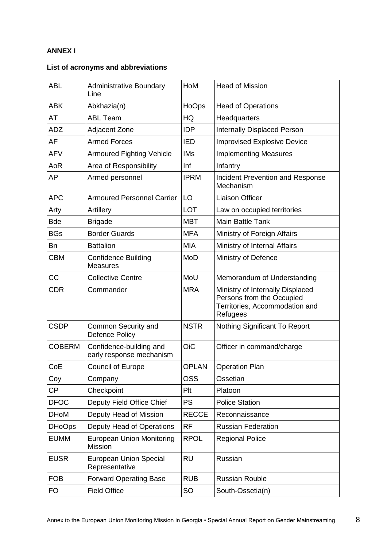#### **ANNEX I**

### **List of acronyms and abbreviations**

| <b>ABL</b>    | <b>Administrative Boundary</b><br>Line              | HoM          | <b>Head of Mission</b>                                                                                      |
|---------------|-----------------------------------------------------|--------------|-------------------------------------------------------------------------------------------------------------|
| <b>ABK</b>    | Abkhazia(n)                                         | HoOps        | <b>Head of Operations</b>                                                                                   |
| AT            | <b>ABL Team</b>                                     | HQ           | Headquarters                                                                                                |
| <b>ADZ</b>    | Adjacent Zone                                       | <b>IDP</b>   | <b>Internally Displaced Person</b>                                                                          |
| AF            | <b>Armed Forces</b>                                 | <b>IED</b>   | <b>Improvised Explosive Device</b>                                                                          |
| <b>AFV</b>    | <b>Armoured Fighting Vehicle</b>                    | <b>IMs</b>   | <b>Implementing Measures</b>                                                                                |
| AoR           | Area of Responsibility                              | Inf          | Infantry                                                                                                    |
| AP            | Armed personnel                                     | <b>IPRM</b>  | <b>Incident Prevention and Response</b><br>Mechanism                                                        |
| <b>APC</b>    | <b>Armoured Personnel Carrier</b>                   | LO           | <b>Liaison Officer</b>                                                                                      |
| Arty          | Artillery                                           | <b>LOT</b>   | Law on occupied territories                                                                                 |
| <b>Bde</b>    | <b>Brigade</b>                                      | <b>MBT</b>   | <b>Main Battle Tank</b>                                                                                     |
| <b>BGs</b>    | <b>Border Guards</b>                                | <b>MFA</b>   | Ministry of Foreign Affairs                                                                                 |
| Bn            | <b>Battalion</b>                                    | <b>MIA</b>   | Ministry of Internal Affairs                                                                                |
| <b>CBM</b>    | <b>Confidence Building</b><br><b>Measures</b>       | <b>MoD</b>   | Ministry of Defence                                                                                         |
| CC            | <b>Collective Centre</b>                            | MoU          | Memorandum of Understanding                                                                                 |
| <b>CDR</b>    | Commander                                           | <b>MRA</b>   | Ministry of Internally Displaced<br>Persons from the Occupied<br>Territories, Accommodation and<br>Refugees |
| <b>CSDP</b>   | Common Security and<br><b>Defence Policy</b>        | <b>NSTR</b>  | Nothing Significant To Report                                                                               |
| <b>COBERM</b> | Confidence-building and<br>early response mechanism | <b>OiC</b>   | Officer in command/charge                                                                                   |
| CoE           | <b>Council of Europe</b>                            | <b>OPLAN</b> | <b>Operation Plan</b>                                                                                       |
| Coy           | Company                                             | <b>OSS</b>   | Ossetian                                                                                                    |
| СP            | Checkpoint                                          | Plt          | Platoon                                                                                                     |
| <b>DFOC</b>   | Deputy Field Office Chief                           | <b>PS</b>    | <b>Police Station</b>                                                                                       |
| <b>DHoM</b>   | Deputy Head of Mission                              | <b>RECCE</b> | Reconnaissance                                                                                              |
| <b>DHoOps</b> | Deputy Head of Operations                           | <b>RF</b>    | <b>Russian Federation</b>                                                                                   |
| <b>EUMM</b>   | <b>European Union Monitoring</b><br>Mission         | <b>RPOL</b>  | <b>Regional Police</b>                                                                                      |
| <b>EUSR</b>   | <b>European Union Special</b><br>Representative     | <b>RU</b>    | Russian                                                                                                     |
| <b>FOB</b>    | <b>Forward Operating Base</b>                       | <b>RUB</b>   | <b>Russian Rouble</b>                                                                                       |
| FO            | <b>Field Office</b>                                 | SO           | South-Ossetia(n)                                                                                            |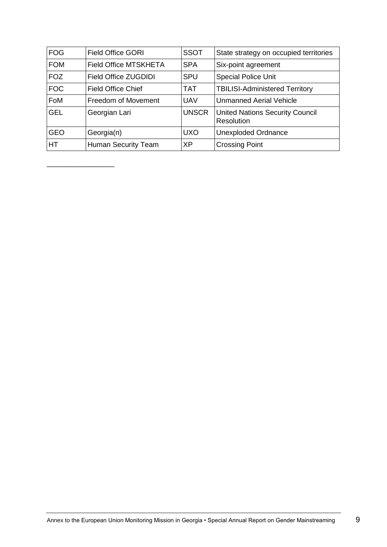| <b>FOG</b> | <b>Field Office GORI</b>     | <b>SSOT</b>  | State strategy on occupied territories                      |
|------------|------------------------------|--------------|-------------------------------------------------------------|
| <b>FOM</b> | <b>Field Office MTSKHETA</b> | <b>SPA</b>   | Six-point agreement                                         |
| <b>FOZ</b> | Field Office ZUGDIDI         | <b>SPU</b>   | <b>Special Police Unit</b>                                  |
| <b>FOC</b> | <b>Field Office Chief</b>    | <b>TAT</b>   | <b>TBILISI-Administered Territory</b>                       |
| FoM        | Freedom of Movement          | <b>UAV</b>   | <b>Unmanned Aerial Vehicle</b>                              |
| <b>GEL</b> | Georgian Lari                | <b>UNSCR</b> | <b>United Nations Security Council</b><br><b>Resolution</b> |
| <b>GEO</b> | Georgia(n)                   | <b>UXO</b>   | <b>Unexploded Ordnance</b>                                  |
| HT         | <b>Human Security Team</b>   | <b>XP</b>    | <b>Crossing Point</b>                                       |

\_\_\_\_\_\_\_\_\_\_\_\_\_\_\_\_\_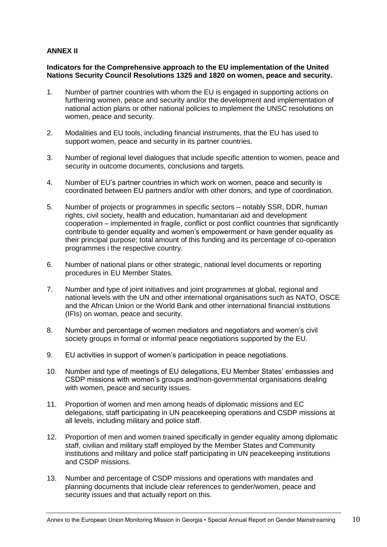#### **ANNEX II**

#### **Indicators for the Comprehensive approach to the EU implementation of the United Nations Security Council Resolutions 1325 and 1820 on women, peace and security.**

- 1. Number of partner countries with whom the EU is engaged in supporting actions on furthering women, peace and security and/or the development and implementation of national action plans or other national policies to implement the UNSC resolutions on women, peace and security.
- 2. Modalities and EU tools, including financial instruments, that the EU has used to support women, peace and security in its partner countries.
- 3. Number of regional level dialogues that include specific attention to women, peace and security in outcome documents, conclusions and targets.
- 4. Number of EU's partner countries in which work on women, peace and security is coordinated between EU partners and/or with other donors, and type of coordination.
- 5. Number of projects or programmes in specific sectors notably SSR, DDR, human rights, civil society, health and education, humanitarian aid and development cooperation – implemented in fragile, conflict or post conflict countries that significantly contribute to gender equality and women's empowerment or have gender equality as their principal purpose; total amount of this funding and its percentage of co-operation programmes i the respective country.
- 6. Number of national plans or other strategic, national level documents or reporting procedures in EU Member States.
- 7. Number and type of joint initiatives and joint programmes at global, regional and national levels with the UN and other international organisations such as NATO, OSCE and the African Union or the World Bank and other international financial institutions (IFIs) on woman, peace and security.
- 8. Number and percentage of women mediators and negotiators and women's civil society groups in formal or informal peace negotiations supported by the EU.
- 9. EU activities in support of women's participation in peace negotiations.
- 10. Number and type of meetings of EU delegations, EU Member States' embassies and CSDP missions with women's groups and/non-governmental organisations dealing with women, peace and security issues.
- 11. Proportion of women and men among heads of diplomatic missions and EC delegations, staff participating in UN peacekeeping operations and CSDP missions at all levels, including military and police staff.
- 12. Proportion of men and women trained specifically in gender equality among diplomatic staff, civilian and military staff employed by the Member States and Community institutions and military and police staff participating in UN peacekeeping institutions and CSDP missions.
- 13. Number and percentage of CSDP missions and operations with mandates and planning documents that include clear references to gender/women, peace and security issues and that actually report on this.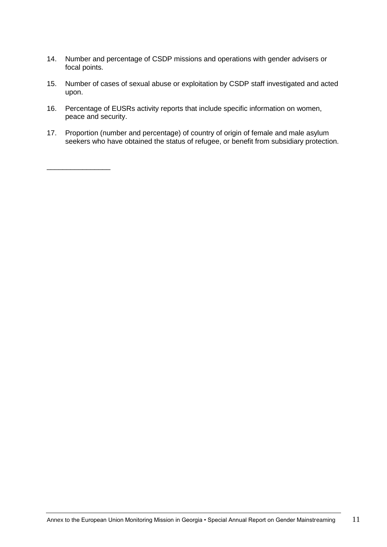- 14. Number and percentage of CSDP missions and operations with gender advisers or focal points.
- 15. Number of cases of sexual abuse or exploitation by CSDP staff investigated and acted upon.
- 16. Percentage of EUSRs activity reports that include specific information on women, peace and security.

\_\_\_\_\_\_\_\_\_\_\_\_\_\_\_\_

17. Proportion (number and percentage) of country of origin of female and male asylum seekers who have obtained the status of refugee, or benefit from subsidiary protection.